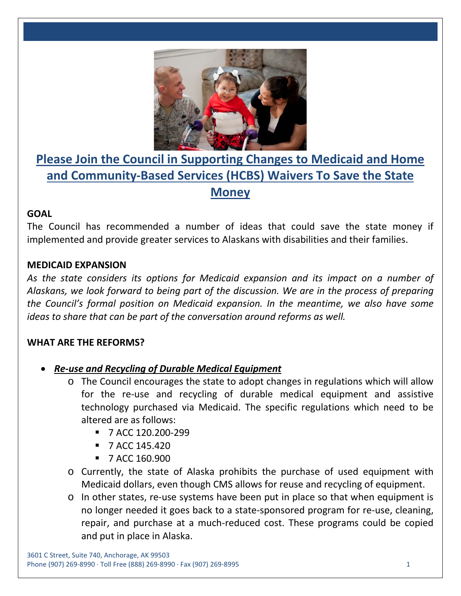

# **Please Join the Council in Supporting Changes to Medicaid and Home and Community-Based Services (HCBS) Waivers To Save the State Money**

### **GOAL**

The Council has recommended a number of ideas that could save the state money if implemented and provide greater services to Alaskans with disabilities and their families.

## **MEDICAID EXPANSION**

*As the state considers its options for Medicaid expansion and its impact on a number of Alaskans, we look forward to being part of the discussion. We are in the process of preparing the Council's formal position on Medicaid expansion. In the meantime, we also have some ideas to share that can be part of the conversation around reforms as well.*

### **WHAT ARE THE REFORMS?**

- *Re-use and Recycling of Durable Medical Equipment*
	- o The Council encourages the state to adopt changes in regulations which will allow for the re-use and recycling of durable medical equipment and assistive technology purchased via Medicaid. The specific regulations which need to be altered are as follows:
		- **7 ACC 120.200-299**
		- $\blacksquare$  7 ACC 145.420
		- **7 ACC 160.900**
	- o Currently, the state of Alaska prohibits the purchase of used equipment with Medicaid dollars, even though CMS allows for reuse and recycling of equipment.
	- o In other states, re-use systems have been put in place so that when equipment is no longer needed it goes back to a state-sponsored program for re-use, cleaning, repair, and purchase at a much-reduced cost. These programs could be copied and put in place in Alaska.